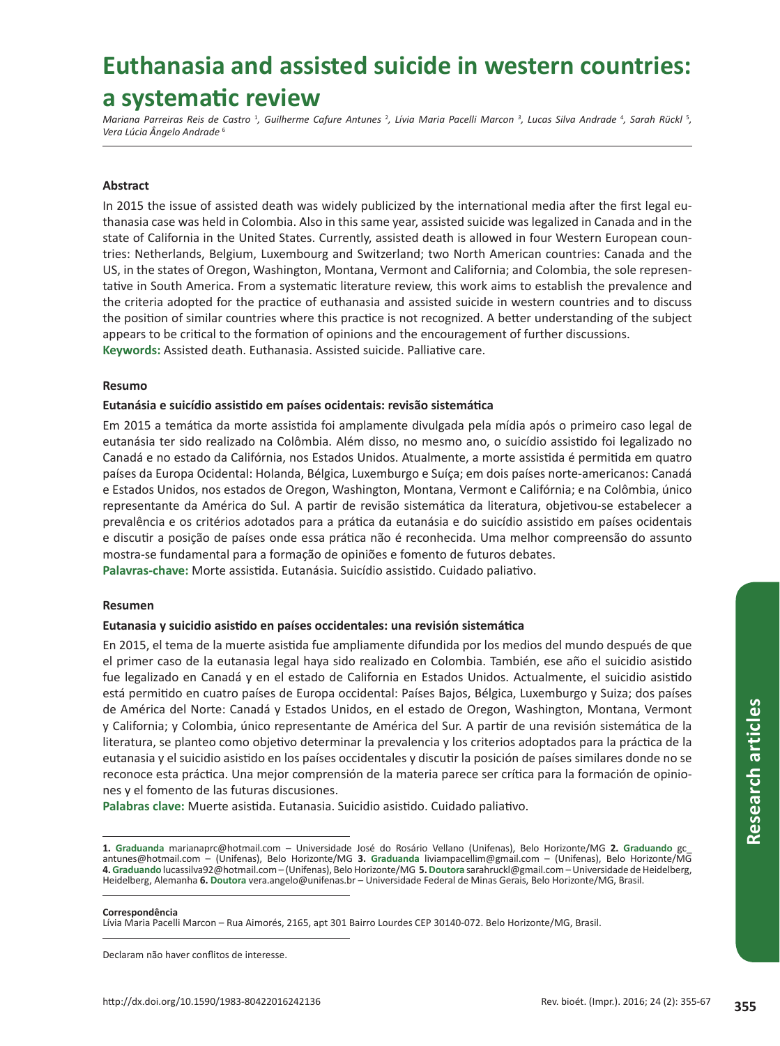# **Euthanasia and assisted suicide in western countries: a systematic review**

*Mariana Parreiras Reis de Castro* <sup>1</sup> *, Guilherme Cafure Antunes* <sup>2</sup> *, Lívia Maria Pacelli Marcon <sup>3</sup> , Lucas Silva Andrade* <sup>4</sup> *, Sarah Rückl* <sup>5</sup> *, Vera Lúcia Ângelo Andrade* <sup>6</sup>

#### **Abstract**

In 2015 the issue of assisted death was widely publicized by the international media after the first legal euthanasia case was held in Colombia. Also in this same year, assisted suicide was legalized in Canada and in the state of California in the United States. Currently, assisted death is allowed in four Western European countries: Netherlands, Belgium, Luxembourg and Switzerland; two North American countries: Canada and the US, in the states of Oregon, Washington, Montana, Vermont and California; and Colombia, the sole representative in South America. From a systematic literature review, this work aims to establish the prevalence and the criteria adopted for the practice of euthanasia and assisted suicide in western countries and to discuss the position of similar countries where this practice is not recognized. A better understanding of the subject appears to be critical to the formation of opinions and the encouragement of further discussions. **Keywords:** Assisted death. Euthanasia. Assisted suicide. Palliative care.

#### **Resumo**

#### **Eutanásia e suicídio assistido em países ocidentais: revisão sistemática**

Em 2015 a temática da morte assistida foi amplamente divulgada pela mídia após o primeiro caso legal de eutanásia ter sido realizado na Colômbia. Além disso, no mesmo ano, o suicídio assistido foi legalizado no Canadá e no estado da Califórnia, nos Estados Unidos. Atualmente, a morte assistida é permitida em quatro países da Europa Ocidental: Holanda, Bélgica, Luxemburgo e Suíça; em dois países norte-americanos: Canadá e Estados Unidos, nos estados de Oregon, Washington, Montana, Vermont e Califórnia; e na Colômbia, único representante da América do Sul. A partir de revisão sistemática da literatura, objetivou-se estabelecer a prevalência e os critérios adotados para a prática da eutanásia e do suicídio assistido em países ocidentais e discutir a posição de países onde essa prática não é reconhecida. Uma melhor compreensão do assunto mostra-se fundamental para a formação de opiniões e fomento de futuros debates.

**Palavras-chave:** Morte assistida. Eutanásia. Suicídio assistido. Cuidado paliativo.

#### **Resumen**

#### **Eutanasia y suicidio asistido en países occidentales: una revisión sistemática**

En 2015, el tema de la muerte asistida fue ampliamente difundida por los medios del mundo después de que el primer caso de la eutanasia legal haya sido realizado en Colombia. También, ese año el suicidio asistido fue legalizado en Canadá y en el estado de California en Estados Unidos. Actualmente, el suicidio asistido está permitido en cuatro países de Europa occidental: Países Bajos, Bélgica, Luxemburgo y Suiza; dos países de América del Norte: Canadá y Estados Unidos, en el estado de Oregon, Washington, Montana, Vermont y California; y Colombia, único representante de América del Sur. A partir de una revisión sistemática de la literatura, se planteo como objetivo determinar la prevalencia y los criterios adoptados para la práctica de la eutanasia y el suicidio asistido en los países occidentales y discutir la posición de países similares donde no se reconoce esta práctica. Una mejor comprensión de la materia parece ser crítica para la formación de opiniones y el fomento de las futuras discusiones.

**Palabras clave:** Muerte asistida. Eutanasia. Suicidio asistido. Cuidado paliativo.

**Correspondência**

Lívia Maria Pacelli Marcon – Rua Aimorés, 2165, apt 301 Bairro Lourdes CEP 30140-072. Belo Horizonte/MG, Brasil.

Declaram não haver conflitos de interesse.

**<sup>1.</sup> Graduanda** marianaprc@hotmail.com – Universidade José do Rosário Vellano (Unifenas), Belo Horizonte/MG **2. Graduando** gc\_ antunes@hotmail.com – (Unifenas), Belo Horizonte/MG **3. Graduanda** liviampacellim@gmail.com – (Unifenas), Belo Horizonte/MG **4. Graduando** lucassilva92@hotmail.com – (Unifenas), Belo Horizonte/MG **5. Doutora** sarahruckl@gmail.com – Universidade de Heidelberg, Heidelberg, Alemanha **6. Doutora** vera.angelo@unifenas.br – Universidade Federal de Minas Gerais, Belo Horizonte/MG, Brasil.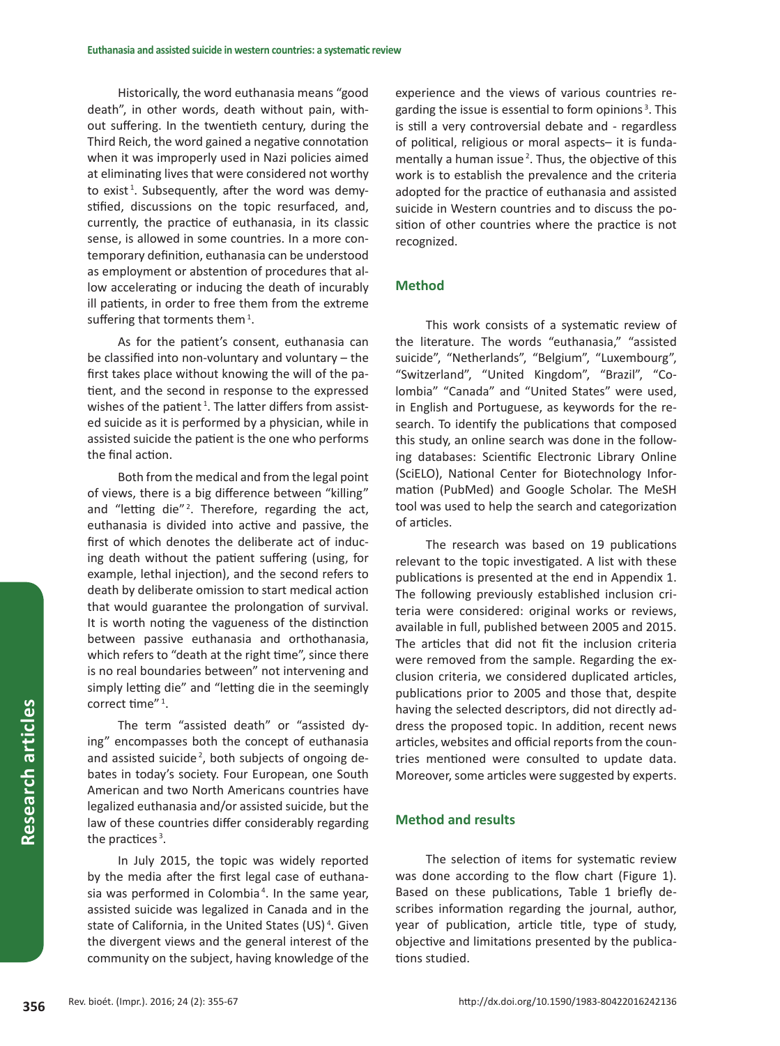Historically, the word euthanasia means "good death", in other words, death without pain, without suffering. In the twentieth century, during the Third Reich, the word gained a negative connotation when it was improperly used in Nazi policies aimed at eliminating lives that were considered not worthy to exist $^1$ . Subsequently, after the word was demystified, discussions on the topic resurfaced, and, currently, the practice of euthanasia, in its classic sense, is allowed in some countries. In a more contemporary definition, euthanasia can be understood as employment or abstention of procedures that allow accelerating or inducing the death of incurably ill patients, in order to free them from the extreme suffering that torments them<sup>1</sup>.

As for the patient's consent, euthanasia can be classified into non-voluntary and voluntary – the first takes place without knowing the will of the patient, and the second in response to the expressed wishes of the patient<sup>1</sup>. The latter differs from assisted suicide as it is performed by a physician, while in assisted suicide the patient is the one who performs the final action.

Both from the medical and from the legal point of views, there is a big difference between "killing" and "letting die"<sup>2</sup>. Therefore, regarding the act, euthanasia is divided into active and passive, the first of which denotes the deliberate act of inducing death without the patient suffering (using, for example, lethal injection), and the second refers to death by deliberate omission to start medical action that would guarantee the prolongation of survival. It is worth noting the vagueness of the distinction between passive euthanasia and orthothanasia, which refers to "death at the right time", since there is no real boundaries between" not intervening and simply letting die" and "letting die in the seemingly correct time"<sup>1</sup>.

The term "assisted death" or "assisted dying" encompasses both the concept of euthanasia and assisted suicide<sup>2</sup>, both subjects of ongoing debates in today's society. Four European, one South American and two North Americans countries have legalized euthanasia and/or assisted suicide, but the law of these countries differ considerably regarding the practices<sup>3</sup>.

In July 2015, the topic was widely reported by the media after the first legal case of euthanasia was performed in Colombia<sup>4</sup>. In the same year, assisted suicide was legalized in Canada and in the state of California, in the United States (US)<sup>4</sup>. Given the divergent views and the general interest of the community on the subject, having knowledge of the

experience and the views of various countries regarding the issue is essential to form opinions<sup>3</sup>. This is still a very controversial debate and - regardless of political, religious or moral aspects– it is fundamentally a human issue<sup>2</sup>. Thus, the objective of this work is to establish the prevalence and the criteria adopted for the practice of euthanasia and assisted suicide in Western countries and to discuss the position of other countries where the practice is not recognized.

### **Method**

This work consists of a systematic review of the literature. The words "euthanasia," "assisted suicide", "Netherlands", "Belgium", "Luxembourg", "Switzerland", "United Kingdom", "Brazil", "Colombia" "Canada" and "United States" were used, in English and Portuguese, as keywords for the research. To identify the publications that composed this study, an online search was done in the following databases: Scientific Electronic Library Online (SciELO), National Center for Biotechnology Information (PubMed) and Google Scholar. The MeSH tool was used to help the search and categorization of articles.

The research was based on 19 publications relevant to the topic investigated. A list with these publications is presented at the end in Appendix 1. The following previously established inclusion criteria were considered: original works or reviews, available in full, published between 2005 and 2015. The articles that did not fit the inclusion criteria were removed from the sample. Regarding the exclusion criteria, we considered duplicated articles, publications prior to 2005 and those that, despite having the selected descriptors, did not directly address the proposed topic. In addition, recent news articles, websites and official reports from the countries mentioned were consulted to update data. Moreover, some articles were suggested by experts.

#### **Method and results**

The selection of items for systematic review was done according to the flow chart (Figure 1). Based on these publications, Table 1 briefly describes information regarding the journal, author, year of publication, article title, type of study, objective and limitations presented by the publications studied.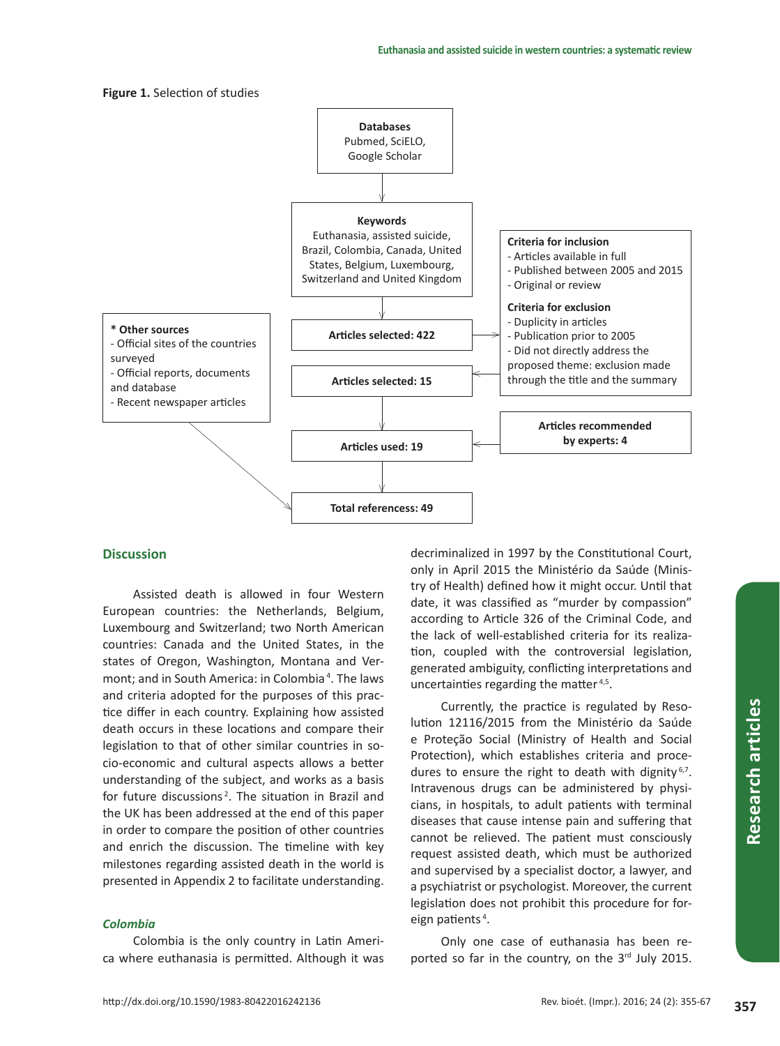

#### **Discussion**

Assisted death is allowed in four Western European countries: the Netherlands, Belgium, Luxembourg and Switzerland; two North American countries: Canada and the United States, in the states of Oregon, Washington, Montana and Vermont; and in South America: in Colombia<sup>4</sup>. The laws and criteria adopted for the purposes of this practice differ in each country. Explaining how assisted death occurs in these locations and compare their legislation to that of other similar countries in socio-economic and cultural aspects allows a better understanding of the subject, and works as a basis for future discussions<sup>2</sup>. The situation in Brazil and the UK has been addressed at the end of this paper in order to compare the position of other countries and enrich the discussion. The timeline with key milestones regarding assisted death in the world is presented in Appendix 2 to facilitate understanding.

#### *Colombia*

Colombia is the only country in Latin America where euthanasia is permitted. Although it was decriminalized in 1997 by the Constitutional Court, only in April 2015 the Ministério da Saúde (Ministry of Health) defined how it might occur. Until that date, it was classified as "murder by compassion" according to Article 326 of the Criminal Code, and the lack of well-established criteria for its realization, coupled with the controversial legislation, generated ambiguity, conflicting interpretations and uncertainties regarding the matter<sup>4,5</sup>.

Currently, the practice is regulated by Resolution 12116/2015 from the Ministério da Saúde e Proteção Social (Ministry of Health and Social Protection), which establishes criteria and procedures to ensure the right to death with dignity<sup>6,7</sup>. Intravenous drugs can be administered by physicians, in hospitals, to adult patients with terminal diseases that cause intense pain and suffering that cannot be relieved. The patient must consciously request assisted death, which must be authorized and supervised by a specialist doctor, a lawyer, and a psychiatrist or psychologist. Moreover, the current legislation does not prohibit this procedure for foreign patients<sup>4</sup>.

Only one case of euthanasia has been reported so far in the country, on the 3rd July 2015.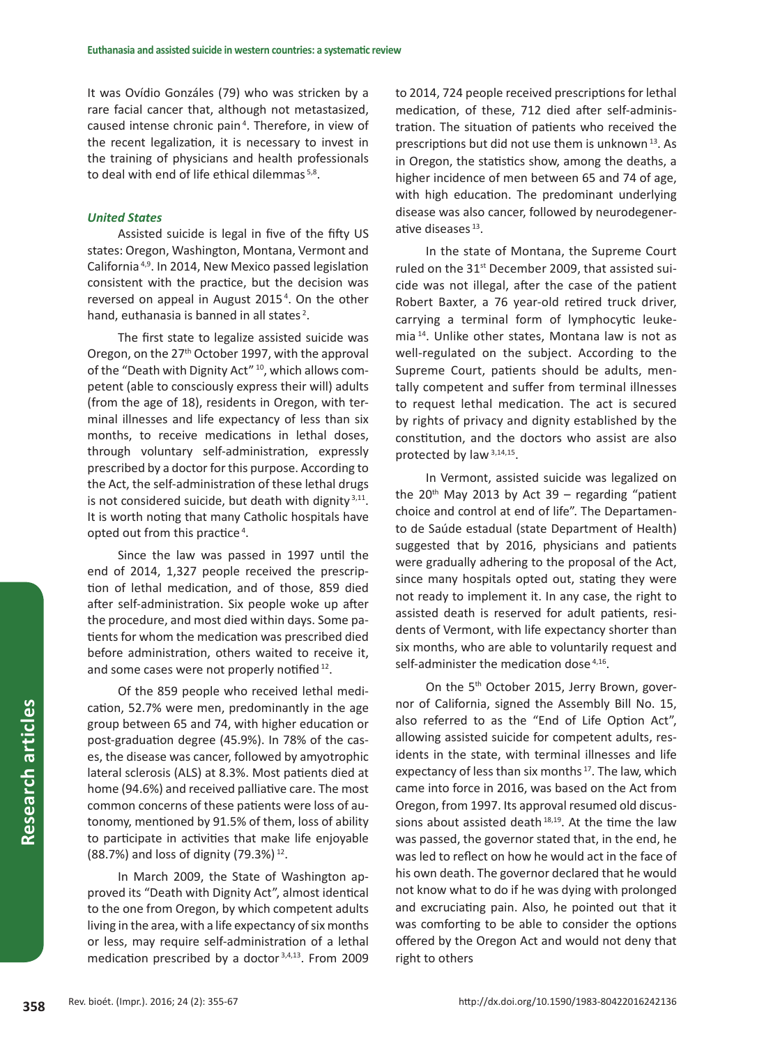It was Ovídio Gonzáles (79) who was stricken by a rare facial cancer that, although not metastasized, caused intense chronic pain<sup>4</sup>. Therefore, in view of the recent legalization, it is necessary to invest in the training of physicians and health professionals to deal with end of life ethical dilemmas 5,8.

#### *United States*

Assisted suicide is legal in five of the fifty US states: Oregon, Washington, Montana, Vermont and California 4,9. In 2014, New Mexico passed legislation consistent with the practice, but the decision was reversed on appeal in August 2015<sup>4</sup>. On the other hand, euthanasia is banned in all states<sup>2</sup>.

The first state to legalize assisted suicide was Oregon, on the 27<sup>th</sup> October 1997, with the approval of the "Death with Dignity Act" 10, which allows competent (able to consciously express their will) adults (from the age of 18), residents in Oregon, with terminal illnesses and life expectancy of less than six months, to receive medications in lethal doses, through voluntary self-administration, expressly prescribed by a doctor for this purpose. According to the Act, the self-administration of these lethal drugs is not considered suicide, but death with dignity<sup>3,11</sup>. It is worth noting that many Catholic hospitals have opted out from this practice<sup>4</sup>.

Since the law was passed in 1997 until the end of 2014, 1,327 people received the prescription of lethal medication, and of those, 859 died after self-administration. Six people woke up after the procedure, and most died within days. Some patients for whom the medication was prescribed died before administration, others waited to receive it, and some cases were not properly notified<sup>12</sup>.

Of the 859 people who received lethal medication, 52.7% were men, predominantly in the age group between 65 and 74, with higher education or post-graduation degree (45.9%). In 78% of the cases, the disease was cancer, followed by amyotrophic lateral sclerosis (ALS) at 8.3%. Most patients died at home (94.6%) and received palliative care. The most common concerns of these patients were loss of autonomy, mentioned by 91.5% of them, loss of ability to participate in activities that make life enjoyable (88.7%) and loss of dignity (79.3%) 12.

In March 2009, the State of Washington approved its "Death with Dignity Act", almost identical to the one from Oregon, by which competent adults living in the area, with a life expectancy of six months or less, may require self-administration of a lethal medication prescribed by a doctor<sup>3,4,13</sup>. From 2009

to 2014, 724 people received prescriptions for lethal medication, of these, 712 died after self-administration. The situation of patients who received the prescriptions but did not use them is unknown 13. As in Oregon, the statistics show, among the deaths, a higher incidence of men between 65 and 74 of age, with high education. The predominant underlying disease was also cancer, followed by neurodegenerative diseases<sup>13</sup>.

In the state of Montana, the Supreme Court ruled on the 31st December 2009, that assisted suicide was not illegal, after the case of the patient Robert Baxter, a 76 year-old retired truck driver, carrying a terminal form of lymphocytic leukemia 14. Unlike other states, Montana law is not as well-regulated on the subject. According to the Supreme Court, patients should be adults, mentally competent and suffer from terminal illnesses to request lethal medication. The act is secured by rights of privacy and dignity established by the constitution, and the doctors who assist are also protected by law<sup>3,14,15</sup>.

In Vermont, assisted suicide was legalized on the 20<sup>th</sup> May 2013 by Act 39 – regarding "patient choice and control at end of life". The Departamento de Saúde estadual (state Department of Health) suggested that by 2016, physicians and patients were gradually adhering to the proposal of the Act, since many hospitals opted out, stating they were not ready to implement it. In any case, the right to assisted death is reserved for adult patients, residents of Vermont, with life expectancy shorter than six months, who are able to voluntarily request and self-administer the medication dose<sup>4,16</sup>.

On the 5<sup>th</sup> October 2015, Jerry Brown, governor of California, signed the Assembly Bill No. 15, also referred to as the "End of Life Option Act", allowing assisted suicide for competent adults, residents in the state, with terminal illnesses and life expectancy of less than six months<sup>17</sup>. The law, which came into force in 2016, was based on the Act from Oregon, from 1997. Its approval resumed old discussions about assisted death<sup>18,19</sup>. At the time the law was passed, the governor stated that, in the end, he was led to reflect on how he would act in the face of his own death. The governor declared that he would not know what to do if he was dying with prolonged and excruciating pain. Also, he pointed out that it was comforting to be able to consider the options offered by the Oregon Act and would not deny that right to others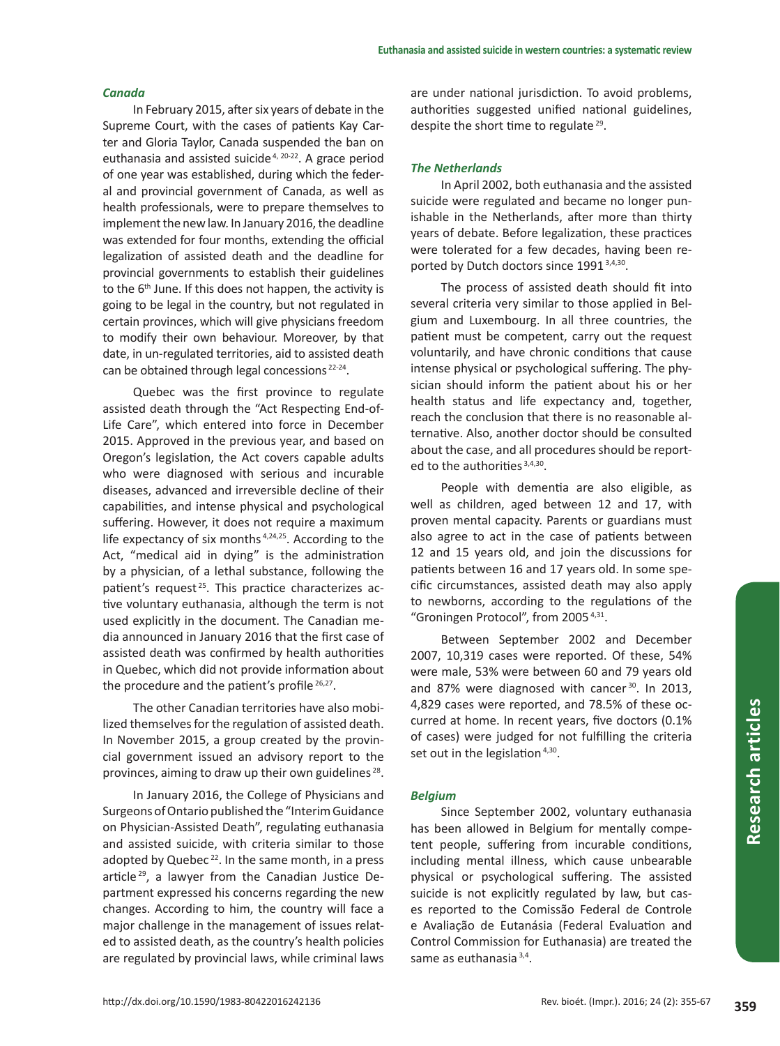#### *Canada*

In February 2015, after six years of debate in the Supreme Court, with the cases of patients Kay Carter and Gloria Taylor, Canada suspended the ban on euthanasia and assisted suicide<sup>4, 20-22</sup>. A grace period of one year was established, during which the federal and provincial government of Canada, as well as health professionals, were to prepare themselves to implement the new law. In January 2016, the deadline was extended for four months, extending the official legalization of assisted death and the deadline for provincial governments to establish their guidelines to the  $6<sup>th</sup>$  June. If this does not happen, the activity is going to be legal in the country, but not regulated in certain provinces, which will give physicians freedom to modify their own behaviour. Moreover, by that date, in un-regulated territories, aid to assisted death can be obtained through legal concessions<sup>22-24</sup>.

Quebec was the first province to regulate assisted death through the "Act Respecting End-of-Life Care", which entered into force in December 2015. Approved in the previous year, and based on Oregon's legislation, the Act covers capable adults who were diagnosed with serious and incurable diseases, advanced and irreversible decline of their capabilities, and intense physical and psychological suffering. However, it does not require a maximum life expectancy of six months<sup>4,24,25</sup>. According to the Act, "medical aid in dying" is the administration by a physician, of a lethal substance, following the patient's request<sup>25</sup>. This practice characterizes active voluntary euthanasia, although the term is not used explicitly in the document. The Canadian media announced in January 2016 that the first case of assisted death was confirmed by health authorities in Quebec, which did not provide information about the procedure and the patient's profile 26,27.

The other Canadian territories have also mobilized themselves for the regulation of assisted death. In November 2015, a group created by the provincial government issued an advisory report to the provinces, aiming to draw up their own guidelines 28.

In January 2016, the College of Physicians and Surgeons of Ontario published the "Interim Guidance on Physician-Assisted Death", regulating euthanasia and assisted suicide, with criteria similar to those adopted by Quebec $^{22}$ . In the same month, in a press article<sup>29</sup>, a lawyer from the Canadian Justice Department expressed his concerns regarding the new changes. According to him, the country will face a major challenge in the management of issues related to assisted death, as the country's health policies are regulated by provincial laws, while criminal laws

are under national jurisdiction. To avoid problems, authorities suggested unified national guidelines, despite the short time to regulate 29.

#### *The Netherlands*

In April 2002, both euthanasia and the assisted suicide were regulated and became no longer punishable in the Netherlands, after more than thirty years of debate. Before legalization, these practices were tolerated for a few decades, having been reported by Dutch doctors since 1991 3,4,30.

The process of assisted death should fit into several criteria very similar to those applied in Belgium and Luxembourg. In all three countries, the patient must be competent, carry out the request voluntarily, and have chronic conditions that cause intense physical or psychological suffering. The physician should inform the patient about his or her health status and life expectancy and, together, reach the conclusion that there is no reasonable alternative. Also, another doctor should be consulted about the case, and all procedures should be reported to the authorities<sup>3,4,30</sup>.

People with dementia are also eligible, as well as children, aged between 12 and 17, with proven mental capacity. Parents or guardians must also agree to act in the case of patients between 12 and 15 years old, and join the discussions for patients between 16 and 17 years old. In some specific circumstances, assisted death may also apply to newborns, according to the regulations of the "Groningen Protocol", from 2005<sup>4,31</sup>.

Between September 2002 and December 2007, 10,319 cases were reported. Of these, 54% were male, 53% were between 60 and 79 years old and 87% were diagnosed with cancer<sup>30</sup>. In 2013, 4,829 cases were reported, and 78.5% of these occurred at home. In recent years, five doctors (0.1% of cases) were judged for not fulfilling the criteria set out in the legislation<sup>4,30</sup>.

#### *Belgium*

Since September 2002, voluntary euthanasia has been allowed in Belgium for mentally competent people, suffering from incurable conditions, including mental illness, which cause unbearable physical or psychological suffering. The assisted suicide is not explicitly regulated by law, but cases reported to the Comissão Federal de Controle e Avaliação de Eutanásia (Federal Evaluation and Control Commission for Euthanasia) are treated the same as euthanasia $3,4$ .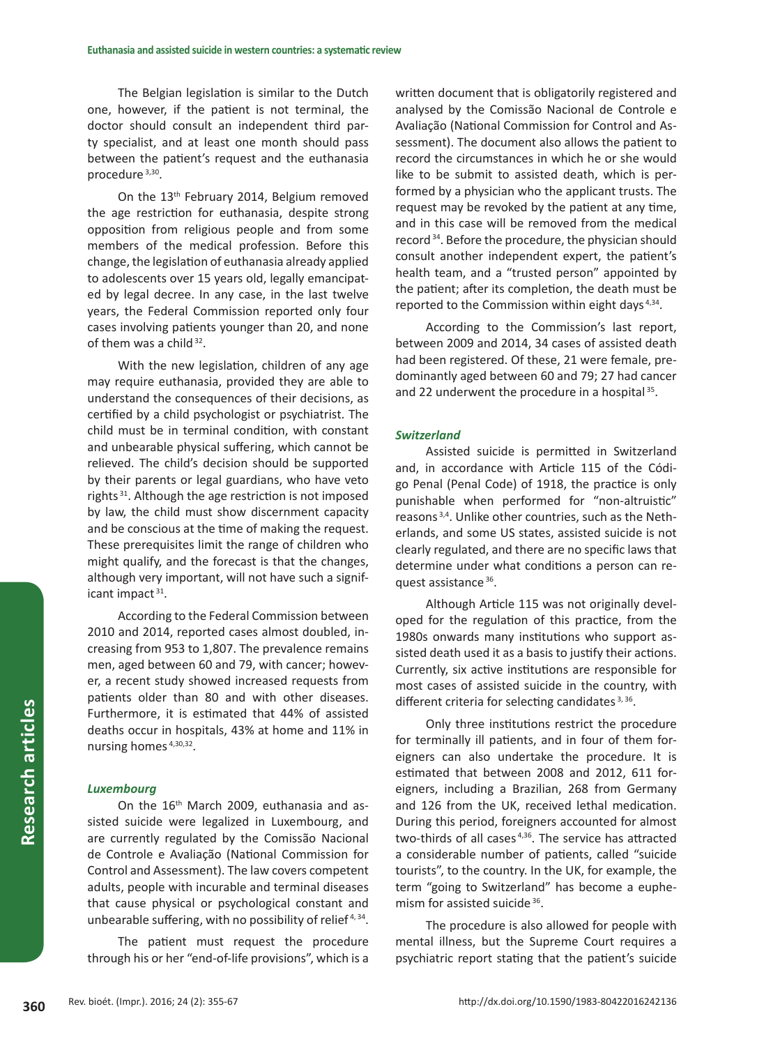The Belgian legislation is similar to the Dutch one, however, if the patient is not terminal, the doctor should consult an independent third party specialist, and at least one month should pass between the patient's request and the euthanasia procedure $3,30$ .

On the 13th February 2014, Belgium removed the age restriction for euthanasia, despite strong opposition from religious people and from some members of the medical profession. Before this change, the legislation of euthanasia already applied to adolescents over 15 years old, legally emancipated by legal decree. In any case, in the last twelve years, the Federal Commission reported only four cases involving patients younger than 20, and none of them was a child<sup>32</sup>.

With the new legislation, children of any age may require euthanasia, provided they are able to understand the consequences of their decisions, as certified by a child psychologist or psychiatrist. The child must be in terminal condition, with constant and unbearable physical suffering, which cannot be relieved. The child's decision should be supported by their parents or legal guardians, who have veto rights 31. Although the age restriction is not imposed by law, the child must show discernment capacity and be conscious at the time of making the request. These prerequisites limit the range of children who might qualify, and the forecast is that the changes, although very important, will not have such a significant impact<sup>31</sup>.

According to the Federal Commission between 2010 and 2014, reported cases almost doubled, increasing from 953 to 1,807. The prevalence remains men, aged between 60 and 79, with cancer; however, a recent study showed increased requests from patients older than 80 and with other diseases. Furthermore, it is estimated that 44% of assisted deaths occur in hospitals, 43% at home and 11% in nursing homes<sup>4,30,32</sup>.

#### *Luxembourg*

On the 16<sup>th</sup> March 2009, euthanasia and assisted suicide were legalized in Luxembourg, and are currently regulated by the Comissão Nacional de Controle e Avaliação (National Commission for Control and Assessment). The law covers competent adults, people with incurable and terminal diseases that cause physical or psychological constant and unbearable suffering, with no possibility of relief<sup>4, 34</sup>.

The patient must request the procedure through his or her "end-of-life provisions", which is a

written document that is obligatorily registered and analysed by the Comissão Nacional de Controle e Avaliação (National Commission for Control and Assessment). The document also allows the patient to record the circumstances in which he or she would like to be submit to assisted death, which is performed by a physician who the applicant trusts. The request may be revoked by the patient at any time, and in this case will be removed from the medical record 34. Before the procedure, the physician should consult another independent expert, the patient's health team, and a "trusted person" appointed by the patient; after its completion, the death must be reported to the Commission within eight days<sup>4,34</sup>.

According to the Commission's last report, between 2009 and 2014, 34 cases of assisted death had been registered. Of these, 21 were female, predominantly aged between 60 and 79; 27 had cancer and 22 underwent the procedure in a hospital<sup>35</sup>.

#### *Switzerland*

Assisted suicide is permitted in Switzerland and, in accordance with Article 115 of the Código Penal (Penal Code) of 1918, the practice is only punishable when performed for "non-altruistic" reasons<sup>3,4</sup>. Unlike other countries, such as the Netherlands, and some US states, assisted suicide is not clearly regulated, and there are no specific laws that determine under what conditions a person can request assistance<sup>36</sup>.

Although Article 115 was not originally developed for the regulation of this practice, from the 1980s onwards many institutions who support assisted death used it as a basis to justify their actions. Currently, six active institutions are responsible for most cases of assisted suicide in the country, with different criteria for selecting candidates  $3, 36$ .

Only three institutions restrict the procedure for terminally ill patients, and in four of them foreigners can also undertake the procedure. It is estimated that between 2008 and 2012, 611 foreigners, including a Brazilian, 268 from Germany and 126 from the UK, received lethal medication. During this period, foreigners accounted for almost two-thirds of all cases<sup>4,36</sup>. The service has attracted a considerable number of patients, called "suicide tourists", to the country. In the UK, for example, the term "going to Switzerland" has become a euphemism for assisted suicide<sup>36</sup>.

The procedure is also allowed for people with mental illness, but the Supreme Court requires a psychiatric report stating that the patient's suicide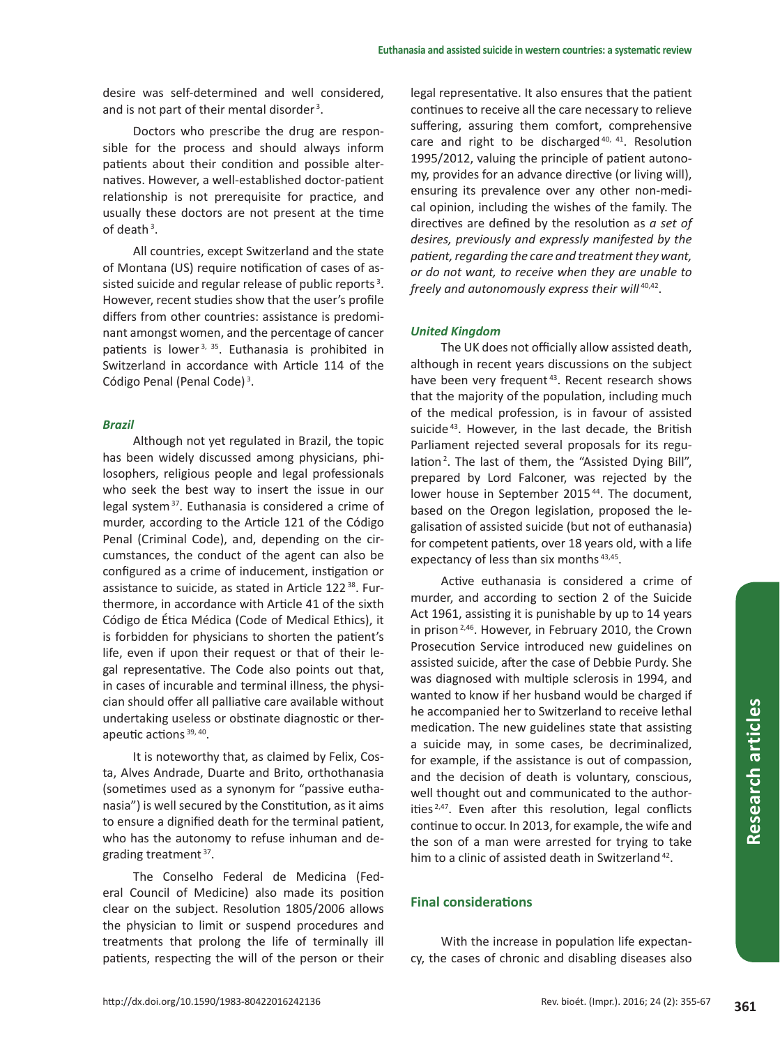desire was self-determined and well considered, and is not part of their mental disorder<sup>3</sup>.

Doctors who prescribe the drug are responsible for the process and should always inform patients about their condition and possible alternatives. However, a well-established doctor-patient relationship is not prerequisite for practice, and usually these doctors are not present at the time of death $3$ .

All countries, except Switzerland and the state of Montana (US) require notification of cases of assisted suicide and regular release of public reports<sup>3</sup>. However, recent studies show that the user's profile differs from other countries: assistance is predominant amongst women, and the percentage of cancer patients is lower<sup>3, 35</sup>. Euthanasia is prohibited in Switzerland in accordance with Article 114 of the Código Penal (Penal Code)<sup>3</sup>.

#### *Brazil*

Although not yet regulated in Brazil, the topic has been widely discussed among physicians, philosophers, religious people and legal professionals who seek the best way to insert the issue in our legal system <sup>37</sup>. Euthanasia is considered a crime of murder, according to the Article 121 of the Código Penal (Criminal Code), and, depending on the circumstances, the conduct of the agent can also be configured as a crime of inducement, instigation or assistance to suicide, as stated in Article 122 38. Furthermore, in accordance with Article 41 of the sixth Código de Ética Médica (Code of Medical Ethics), it is forbidden for physicians to shorten the patient's life, even if upon their request or that of their legal representative. The Code also points out that, in cases of incurable and terminal illness, the physician should offer all palliative care available without undertaking useless or obstinate diagnostic or therapeutic actions<sup>39, 40</sup>.

It is noteworthy that, as claimed by Felix, Costa, Alves Andrade, Duarte and Brito, orthothanasia (sometimes used as a synonym for "passive euthanasia") is well secured by the Constitution, as it aims to ensure a dignified death for the terminal patient, who has the autonomy to refuse inhuman and degrading treatment<sup>37</sup>.

The Conselho Federal de Medicina (Federal Council of Medicine) also made its position clear on the subject. Resolution 1805/2006 allows the physician to limit or suspend procedures and treatments that prolong the life of terminally ill patients, respecting the will of the person or their

legal representative. It also ensures that the patient continues to receive all the care necessary to relieve suffering, assuring them comfort, comprehensive care and right to be discharged<sup> $40$ ,  $41$ </sup>. Resolution 1995/2012, valuing the principle of patient autonomy, provides for an advance directive (or living will), ensuring its prevalence over any other non-medical opinion, including the wishes of the family. The directives are defined by the resolution as *a set of desires, previously and expressly manifested by the patient, regarding the care and treatment they want, or do not want, to receive when they are unable to freely and autonomously express their will*  $40,42$ .

#### *United Kingdom*

The UK does not officially allow assisted death, although in recent years discussions on the subject have been very frequent<sup>43</sup>. Recent research shows that the majority of the population, including much of the medical profession, is in favour of assisted suicide<sup>43</sup>. However, in the last decade, the British Parliament rejected several proposals for its regulation<sup>2</sup>. The last of them, the "Assisted Dying Bill", prepared by Lord Falconer, was rejected by the lower house in September 2015<sup>44</sup>. The document, based on the Oregon legislation, proposed the legalisation of assisted suicide (but not of euthanasia) for competent patients, over 18 years old, with a life expectancy of less than six months<sup>43,45</sup>.

Active euthanasia is considered a crime of murder, and according to section 2 of the Suicide Act 1961, assisting it is punishable by up to 14 years in prison<sup>2,46</sup>. However, in February 2010, the Crown Prosecution Service introduced new guidelines on assisted suicide, after the case of Debbie Purdy. She was diagnosed with multiple sclerosis in 1994, and wanted to know if her husband would be charged if he accompanied her to Switzerland to receive lethal medication. The new guidelines state that assisting a suicide may, in some cases, be decriminalized, for example, if the assistance is out of compassion, and the decision of death is voluntary, conscious, well thought out and communicated to the authorities<sup>2,47</sup>. Even after this resolution, legal conflicts continue to occur. In 2013, for example, the wife and the son of a man were arrested for trying to take him to a clinic of assisted death in Switzerland<sup>42</sup>.

#### **Final considerations**

With the increase in population life expectancy, the cases of chronic and disabling diseases also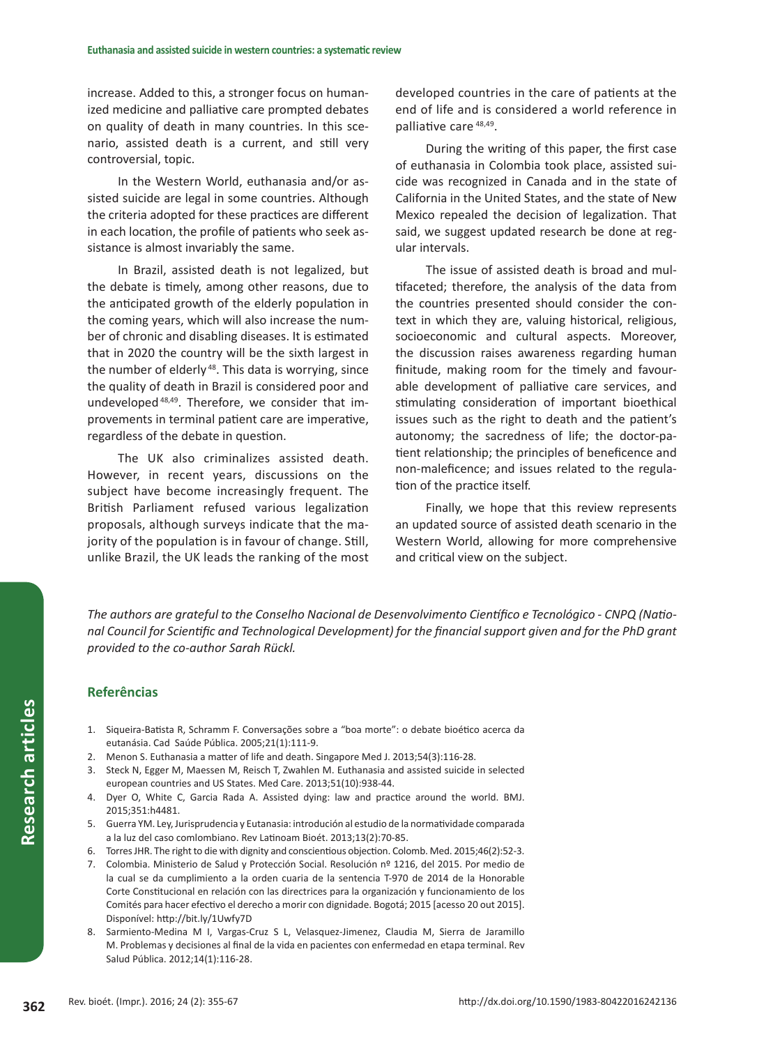increase. Added to this, a stronger focus on humanized medicine and palliative care prompted debates on quality of death in many countries. In this scenario, assisted death is a current, and still very controversial, topic.

In the Western World, euthanasia and/or assisted suicide are legal in some countries. Although the criteria adopted for these practices are different in each location, the profile of patients who seek assistance is almost invariably the same.

In Brazil, assisted death is not legalized, but the debate is timely, among other reasons, due to the anticipated growth of the elderly population in the coming years, which will also increase the number of chronic and disabling diseases. It is estimated that in 2020 the country will be the sixth largest in the number of elderly<sup>48</sup>. This data is worrying, since the quality of death in Brazil is considered poor and undeveloped<sup>48,49</sup>. Therefore, we consider that improvements in terminal patient care are imperative, regardless of the debate in question.

The UK also criminalizes assisted death. However, in recent years, discussions on the subject have become increasingly frequent. The British Parliament refused various legalization proposals, although surveys indicate that the majority of the population is in favour of change. Still, unlike Brazil, the UK leads the ranking of the most developed countries in the care of patients at the end of life and is considered a world reference in palliative care 48,49.

During the writing of this paper, the first case of euthanasia in Colombia took place, assisted suicide was recognized in Canada and in the state of California in the United States, and the state of New Mexico repealed the decision of legalization. That said, we suggest updated research be done at regular intervals.

The issue of assisted death is broad and multifaceted; therefore, the analysis of the data from the countries presented should consider the context in which they are, valuing historical, religious, socioeconomic and cultural aspects. Moreover, the discussion raises awareness regarding human finitude, making room for the timely and favourable development of palliative care services, and stimulating consideration of important bioethical issues such as the right to death and the patient's autonomy; the sacredness of life; the doctor-patient relationship; the principles of beneficence and non-maleficence; and issues related to the regulation of the practice itself.

Finally, we hope that this review represents an updated source of assisted death scenario in the Western World, allowing for more comprehensive and critical view on the subject.

*The authors are grateful to the Conselho Nacional de Desenvolvimento Científico e Tecnológico - CNPQ (National Council for Scientific and Technological Development) for the financial support given and for the PhD grant provided to the co-author Sarah Rückl.*

#### **Referências**

- 1. Siqueira-Batista R, Schramm F. Conversações sobre a "boa morte": o debate bioético acerca da eutanásia. Cad Saúde Pública. 2005;21(1):111-9.
- 2. Menon S. Euthanasia a matter of life and death. Singapore Med J. 2013;54(3):116-28.
- 3. Steck N, Egger M, Maessen M, Reisch T, Zwahlen M. Euthanasia and assisted suicide in selected european countries and US States. Med Care. 2013;51(10):938-44.
- 4. Dyer O, White C, Garcia Rada A. Assisted dying: law and practice around the world. BMJ. 2015;351:h4481.
- 5. Guerra YM. Ley, Jurisprudencia y Eutanasia: introdución al estudio de la normatividade comparada a la luz del caso comlombiano. Rev Latinoam Bioét. 2013;13(2):70-85.
- 6. Torres JHR. The right to die with dignity and conscientious objection. Colomb. Med. 2015;46(2):52-3.
- 7. Colombia. Ministerio de Salud y Protección Social. Resolución nº 1216, del 2015. Por medio de la cual se da cumplimiento a la orden cuaria de la sentencia T-970 de 2014 de la Honorable Corte Constitucional en relación con las directrices para la organización y funcionamiento de los Comités para hacer efectivo el derecho a morir con dignidade. Bogotá; 2015 [acesso 20 out 2015]. Disponível: http://bit.ly/1Uwfy7D
- 8. Sarmiento-Medina M I, Vargas-Cruz S L, Velasquez-Jimenez, Claudia M, Sierra de Jaramillo M. Problemas y decisiones al final de la vida en pacientes con enfermedad en etapa terminal. Rev Salud Pública. 2012;14(1):116-28.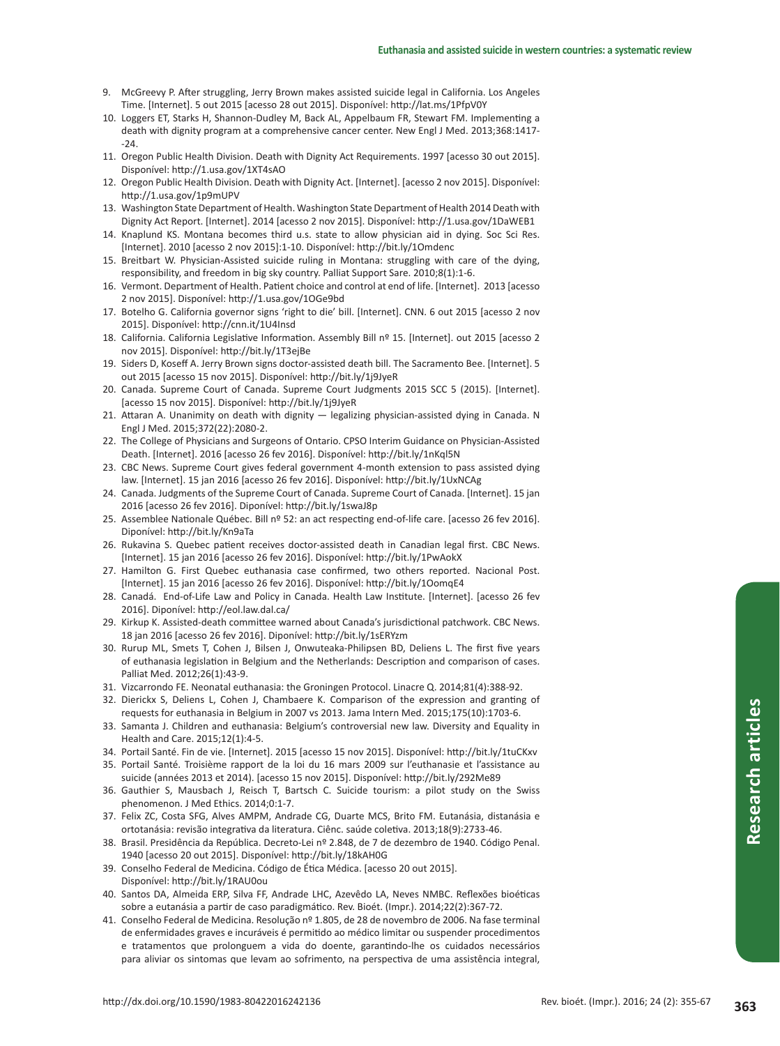- 9. McGreevy P. After struggling, Jerry Brown makes assisted suicide legal in California. Los Angeles Time. [Internet]. 5 out 2015 [acesso 28 out 2015]. Disponível: http://lat.ms/1PfpV0Y
- 10. Loggers ET, Starks H, Shannon-Dudley M, Back AL, Appelbaum FR, Stewart FM. Implementing a death with dignity program at a comprehensive cancer center. New Engl J Med. 2013;368:1417-  $-24$
- 11. Oregon Public Health Division. Death with Dignity Act Requirements. 1997 [acesso 30 out 2015]. Disponível: http://1.usa.gov/1XT4sAO
- 12. Oregon Public Health Division. Death with Dignity Act. [Internet]. [acesso 2 nov 2015]. Disponível: http://1.usa.gov/1p9mUPV
- 13. Washington State Department of Health. Washington State Department of Health 2014 Death with Dignity Act Report. [Internet]. 2014 [acesso 2 nov 2015]. Disponível: http://1.usa.gov/1DaWEB1
- 14. Knaplund KS. Montana becomes third u.s. state to allow physician aid in dying. Soc Sci Res. [Internet]. 2010 [acesso 2 nov 2015]:1-10. Disponível: http://bit.ly/1Omdenc
- 15. Breitbart W. Physician-Assisted suicide ruling in Montana: struggling with care of the dying, responsibility, and freedom in big sky country. Palliat Support Sare. 2010;8(1):1-6.
- 16. Vermont. Department of Health. Patient choice and control at end of life. [Internet]. 2013 [acesso 2 nov 2015]. Disponível: http://1.usa.gov/1OGe9bd
- 17. Botelho G. California governor signs 'right to die' bill. [Internet]. CNN. 6 out 2015 [acesso 2 nov 2015]. Disponível: http://cnn.it/1U4Insd
- 18. California. California Legislative Information. Assembly Bill nº 15. [Internet]. out 2015 [acesso 2 nov 2015]. Disponível: http://bit.ly/1T3ejBe
- 19. Siders D, Koseff A. Jerry Brown signs doctor-assisted death bill. The Sacramento Bee. [Internet]. 5 out 2015 [acesso 15 nov 2015]. Disponível: http://bit.ly/1j9JyeR
- 20. Canada. Supreme Court of Canada. Supreme Court Judgments 2015 SCC 5 (2015). [Internet]. [acesso 15 nov 2015]. Disponível: http://bit.ly/1j9JyeR
- 21. Attaran A. Unanimity on death with dignity legalizing physician-assisted dying in Canada. N Engl J Med. 2015;372(22):2080-2.
- 22. The College of Physicians and Surgeons of Ontario. CPSO Interim Guidance on Physician-Assisted Death. [Internet]. 2016 [acesso 26 fev 2016]. Disponível: http://bit.ly/1nKql5N
- 23. CBC News. Supreme Court gives federal government 4-month extension to pass assisted dying law. [Internet]. 15 jan 2016 [acesso 26 fev 2016]. Disponível: http://bit.ly/1UxNCAg
- 24. Canada. Judgments of the Supreme Court of Canada. Supreme Court of Canada. [Internet]. 15 jan 2016 [acesso 26 fev 2016]. Diponível: http://bit.ly/1swaJ8p
- 25. Assemblee Nationale Québec. Bill nº 52: an act respecting end-of-life care. [acesso 26 fev 2016]. Diponível: http://bit.ly/Kn9aTa
- 26. Rukavina S. Quebec patient receives doctor-assisted death in Canadian legal first. CBC News. [Internet]. 15 jan 2016 [acesso 26 fev 2016]. Disponível: http://bit.ly/1PwAokX
- 27. Hamilton G. First Quebec euthanasia case confirmed, two others reported. Nacional Post. [Internet]. 15 jan 2016 [acesso 26 fev 2016]. Disponível: http://bit.ly/1OomqE4
- 28. Canadá. End-of-Life Law and Policy in Canada. Health Law Institute. [Internet]. [acesso 26 fev 2016]. Diponível: http://eol.law.dal.ca/
- 29. Kirkup K. Assisted-death committee warned about Canada's jurisdictional patchwork. CBC News. 18 jan 2016 [acesso 26 fev 2016]. Diponível: http://bit.ly/1sERYzm
- 30. Rurup ML, Smets T, Cohen J, Bilsen J, Onwuteaka-Philipsen BD, Deliens L. The first five years of euthanasia legislation in Belgium and the Netherlands: Description and comparison of cases. Palliat Med. 2012;26(1):43-9.
- 31. Vizcarrondo FE. Neonatal euthanasia: the Groningen Protocol. Linacre Q. 2014;81(4):388-92.
- 32. Dierickx S, Deliens L, Cohen J, Chambaere K. Comparison of the expression and granting of requests for euthanasia in Belgium in 2007 vs 2013. Jama Intern Med. 2015;175(10):1703-6.
- 33. Samanta J. Children and euthanasia: Belgium's controversial new law. Diversity and Equality in Health and Care. 2015;12(1):4-5.
- 34. Portail Santé. Fin de vie. [Internet]. 2015 [acesso 15 nov 2015]. Disponível: http://bit.ly/1tuCKxv
- 35. Portail Santé. Troisième rapport de la loi du 16 mars 2009 sur l'euthanasie et l'assistance au suicide (années 2013 et 2014). [acesso 15 nov 2015]. Disponível: http://bit.ly/292Me89
- 36. Gauthier S, Mausbach J, Reisch T, Bartsch C. Suicide tourism: a pilot study on the Swiss phenomenon. J Med Ethics. 2014;0:1-7.
- 37. Felix ZC, Costa SFG, Alves AMPM, Andrade CG, Duarte MCS, Brito FM. Eutanásia, distanásia e ortotanásia: revisão integrativa da literatura. Ciênc. saúde coletiva. 2013;18(9):2733-46.
- 38. Brasil. Presidência da República. Decreto-Lei nº 2.848, de 7 de dezembro de 1940. Código Penal. 1940 [acesso 20 out 2015]. Disponível: http://bit.ly/18kAH0G
- 39. Conselho Federal de Medicina. Código de Ética Médica. [acesso 20 out 2015]. Disponível: http://bit.ly/1RAU0ou
- 40. Santos DA, Almeida ERP, Silva FF, Andrade LHC, Azevêdo LA, Neves NMBC. Reflexões bioéticas sobre a eutanásia a partir de caso paradigmático. Rev. Bioét. (Impr.). 2014;22(2):367-72.
- 41. Conselho Federal de Medicina. Resolução nº 1.805, de 28 de novembro de 2006. Na fase terminal de enfermidades graves e incuráveis é permitido ao médico limitar ou suspender procedimentos e tratamentos que prolonguem a vida do doente, garantindo-lhe os cuidados necessários para aliviar os sintomas que levam ao sofrimento, na perspectiva de uma assistência integral,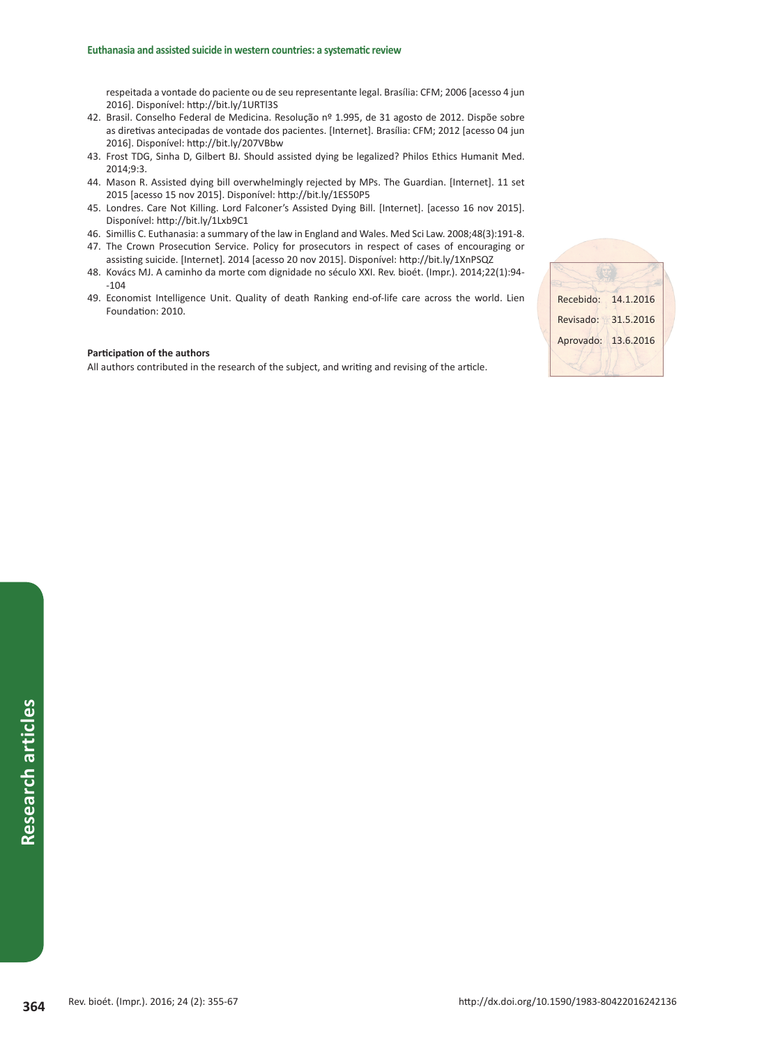respeitada a vontade do paciente ou de seu representante legal. Brasília: CFM; 2006 [acesso 4 jun 2016]. Disponível: http://bit.ly/1URTl3S

- 42. Brasil. Conselho Federal de Medicina. Resolução nº 1.995, de 31 agosto de 2012. Dispõe sobre as diretivas antecipadas de vontade dos pacientes. [Internet]. Brasília: CFM; 2012 [acesso 04 jun 2016]. Disponível: http://bit.ly/207VBbw
- 43. Frost TDG, Sinha D, Gilbert BJ. Should assisted dying be legalized? Philos Ethics Humanit Med. 2014;9:3.
- 44. Mason R. Assisted dying bill overwhelmingly rejected by MPs. The Guardian. [Internet]. 11 set 2015 [acesso 15 nov 2015]. Disponível: http://bit.ly/1ES50P5
- 45. Londres. Care Not Killing. Lord Falconer's Assisted Dying Bill. [Internet]. [acesso 16 nov 2015]. Disponível: http://bit.ly/1Lxb9C1
- 46. Simillis C. Euthanasia: a summary of the law in England and Wales. Med Sci Law. 2008;48(3):191-8.
- 47. The Crown Prosecution Service. Policy for prosecutors in respect of cases of encouraging or assisting suicide. [Internet]. 2014 [acesso 20 nov 2015]. Disponível: http://bit.ly/1XnPSQZ
- 48. Kovács MJ. A caminho da morte com dignidade no século XXI. Rev. bioét. (Impr.). 2014;22(1):94- -104
- 49. Economist Intelligence Unit. Quality of death Ranking end-of-life care across the world. Lien Foundation: 2010.

#### **Participation of the authors**

All authors contributed in the research of the subject, and writing and revising of the article.

|  | Recebido: 14.1.2016 |           |  |
|--|---------------------|-----------|--|
|  | Revisado:           | 31.5.2016 |  |
|  | Aprovado: 13.6.2016 |           |  |
|  |                     |           |  |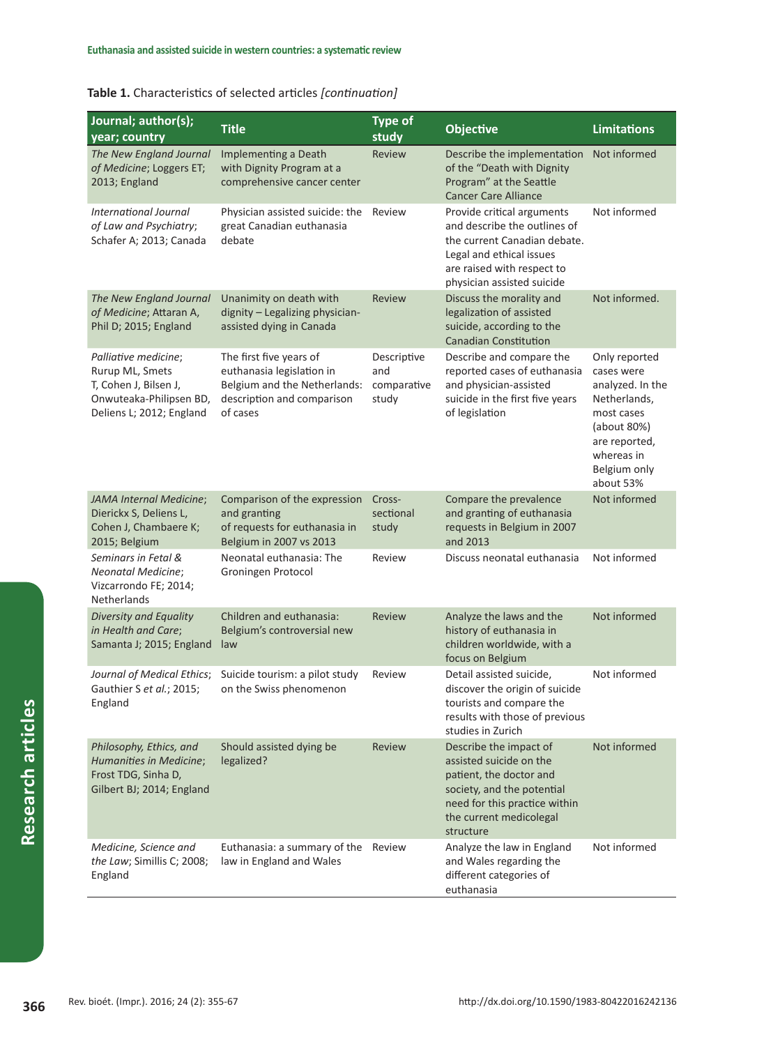## **Table 1.** Characteristics of selected articles *[continuation]*

| Journal; author(s);<br>year; country                                                                                    | <b>Title</b>                                                                                                                   | <b>Type of</b><br>study                    | <b>Objective</b>                                                                                                                                                                    | <b>Limitations</b>                                                                                                                                       |
|-------------------------------------------------------------------------------------------------------------------------|--------------------------------------------------------------------------------------------------------------------------------|--------------------------------------------|-------------------------------------------------------------------------------------------------------------------------------------------------------------------------------------|----------------------------------------------------------------------------------------------------------------------------------------------------------|
| The New England Journal<br>of Medicine; Loggers ET;<br>2013; England                                                    | Implementing a Death<br>with Dignity Program at a<br>comprehensive cancer center                                               | <b>Review</b>                              | Describe the implementation<br>of the "Death with Dignity<br>Program" at the Seattle<br><b>Cancer Care Alliance</b>                                                                 | Not informed                                                                                                                                             |
| International Journal<br>of Law and Psychiatry;<br>Schafer A; 2013; Canada                                              | Physician assisted suicide: the<br>great Canadian euthanasia<br>debate                                                         | Review                                     | Provide critical arguments<br>and describe the outlines of<br>the current Canadian debate.<br>Legal and ethical issues<br>are raised with respect to<br>physician assisted suicide  | Not informed                                                                                                                                             |
| The New England Journal<br>of Medicine; Attaran A,<br>Phil D; 2015; England                                             | Unanimity on death with<br>dignity - Legalizing physician-<br>assisted dying in Canada                                         | Review                                     | Discuss the morality and<br>legalization of assisted<br>suicide, according to the<br><b>Canadian Constitution</b>                                                                   | Not informed.                                                                                                                                            |
| Palliative medicine;<br>Rurup ML, Smets<br>T, Cohen J, Bilsen J,<br>Onwuteaka-Philipsen BD,<br>Deliens L; 2012; England | The first five years of<br>euthanasia legislation in<br>Belgium and the Netherlands:<br>description and comparison<br>of cases | Descriptive<br>and<br>comparative<br>study | Describe and compare the<br>reported cases of euthanasia<br>and physician-assisted<br>suicide in the first five years<br>of legislation                                             | Only reported<br>cases were<br>analyzed. In the<br>Netherlands,<br>most cases<br>(about 80%)<br>are reported,<br>whereas in<br>Belgium only<br>about 53% |
| JAMA Internal Medicine;<br>Dierickx S, Deliens L,<br>Cohen J, Chambaere K;<br>2015; Belgium                             | Comparison of the expression<br>and granting<br>of requests for euthanasia in<br>Belgium in 2007 vs 2013                       | Cross-<br>sectional<br>study               | Compare the prevalence<br>and granting of euthanasia<br>requests in Belgium in 2007<br>and 2013                                                                                     | Not informed                                                                                                                                             |
| Seminars in Fetal &<br><b>Neonatal Medicine;</b><br>Vizcarrondo FE; 2014;<br>Netherlands                                | Neonatal euthanasia: The<br>Groningen Protocol                                                                                 | Review                                     | Discuss neonatal euthanasia                                                                                                                                                         | Not informed                                                                                                                                             |
| Diversity and Equality<br>in Health and Care;<br>Samanta J; 2015; England                                               | Children and euthanasia:<br>Belgium's controversial new<br>law                                                                 | <b>Review</b>                              | Analyze the laws and the<br>history of euthanasia in<br>children worldwide, with a<br>focus on Belgium                                                                              | Not informed                                                                                                                                             |
| Journal of Medical Ethics;<br>Gauthier S et al.; 2015;<br>England                                                       | Suicide tourism: a pilot study<br>on the Swiss phenomenon                                                                      | Review                                     | Detail assisted suicide,<br>discover the origin of suicide<br>tourists and compare the<br>results with those of previous<br>studies in Zurich                                       | Not informed                                                                                                                                             |
| Philosophy, Ethics, and<br>Humanities in Medicine;<br>Frost TDG, Sinha D,<br>Gilbert BJ; 2014; England                  | Should assisted dying be<br>legalized?                                                                                         | Review                                     | Describe the impact of<br>assisted suicide on the<br>patient, the doctor and<br>society, and the potential<br>need for this practice within<br>the current medicolegal<br>structure | Not informed                                                                                                                                             |
| Medicine, Science and<br>the Law; Simillis C; 2008;<br>England                                                          | Euthanasia: a summary of the Review<br>law in England and Wales                                                                |                                            | Analyze the law in England<br>and Wales regarding the<br>different categories of<br>euthanasia                                                                                      | Not informed                                                                                                                                             |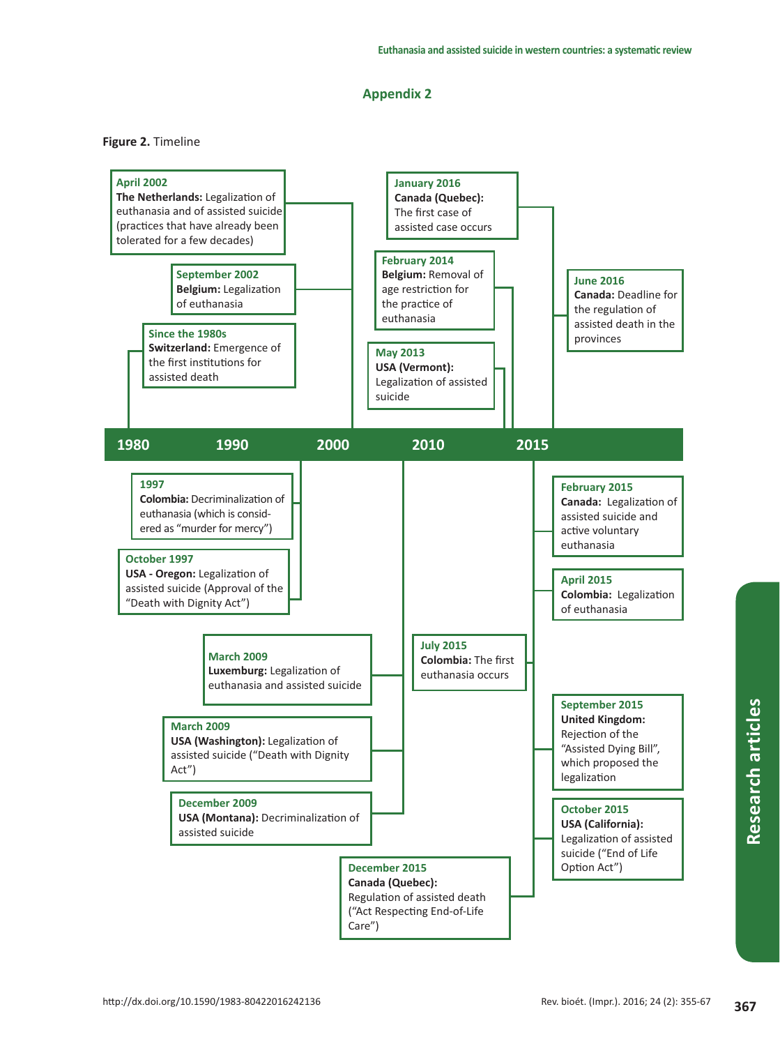#### **Appendix 2**

**Figure 2.** Timeline